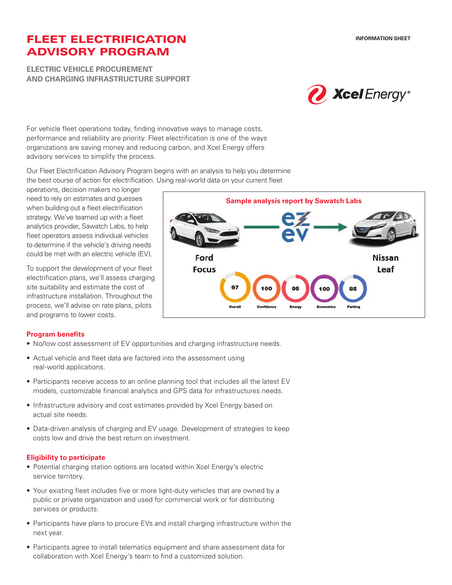# FLEET ELECTRIFICATION **INFORMATION SHEET** ADVISORY PROGRAM

**ELECTRIC VEHICLE PROCUREMENT AND CHARGING INFRASTRUCTURE SUPPORT**



For vehicle fleet operations today, finding innovative ways to manage costs, performance and reliability are priority. Fleet electrification is one of the ways organizations are saving money and reducing carbon, and Xcel Energy offers advisory services to simplify the process.

Our Fleet Electrification Advisory Program begins with an analysis to help you determine the best course of action for electrification. Using real-world data on your current fleet

operations, decision makers no longer need to rely on estimates and guesses when building out a fleet electrification strategy. We've teamed up with a fleet analytics provider, Sawatch Labs, to help fleet operators assess individual vehicles to determine if the vehicle's driving needs could be met with an electric vehicle (EV).

To support the development of your fleet electrification plans, we'll assess charging site suitability and estimate the cost of infrastructure installation. Throughout the process, we'll advise on rate plans, pilots and programs to lower costs.

# **Program benefits**

- No/low cost assessment of EV opportunities and charging infrastructure needs.
- Actual vehicle and fleet data are factored into the assessment using real-world applications.
- Participants receive access to an online planning tool that includes all the latest EV models, customizable financial analytics and GPS data for infrastructures needs.
- Infrastructure advisory and cost estimates provided by Xcel Energy based on actual site needs.
- Data-driven analysis of charging and EV usage. Development of strategies to keep costs low and drive the best return on investment.

# **Eligibility to participate**

- Potential charging station options are located within Xcel Energy's electric service territory.
- Your existing fleet includes five or more light-duty vehicles that are owned by a public or private organization and used for commercial work or for distributing services or products.
- Participants have plans to procure EVs and install charging infrastructure within the next year.
- Participants agree to install telematics equipment and share assessment data for collaboration with Xcel Energy's team to find a customized solution.